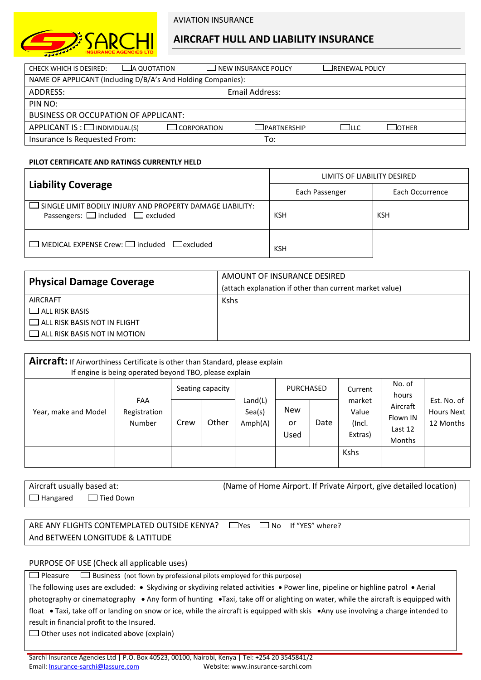

# **AIRCRAFT HULL AND LIABILITY INSURANCE**

| ∟a quotation<br>CHECK WHICH IS DESIRED:                      |               | LI NEW INSURANCE POLICY |       | ____RENEWAL POLICY |  |  |  |  |  |
|--------------------------------------------------------------|---------------|-------------------------|-------|--------------------|--|--|--|--|--|
| NAME OF APPLICANT (Including D/B/A's And Holding Companies): |               |                         |       |                    |  |  |  |  |  |
| ADDRESS:                                                     |               | Email Address:          |       |                    |  |  |  |  |  |
| PIN NO:                                                      |               |                         |       |                    |  |  |  |  |  |
| BUSINESS OR OCCUPATION OF APPLICANT:                         |               |                         |       |                    |  |  |  |  |  |
| APPLICANT IS : $\Box$ INDIVIDUAL(S)                          | J CORPORATION | $\Box$ partnership      | Е Піс | $\Box$ OTHER       |  |  |  |  |  |
| Insurance Is Requested From:                                 |               | To:                     |       |                    |  |  |  |  |  |

## **PILOT CERTIFICATE AND RATINGS CURRENTLY HELD**

|                                                                                                                 | LIMITS OF LIABILITY DESIRED |                 |  |  |  |  |  |
|-----------------------------------------------------------------------------------------------------------------|-----------------------------|-----------------|--|--|--|--|--|
| <b>Liability Coverage</b>                                                                                       | Each Passenger              | Each Occurrence |  |  |  |  |  |
| $\Box$ SINGLE LIMIT BODILY INJURY AND PROPERTY DAMAGE LIABILITY:<br>Passengers: $\Box$ included $\Box$ excluded | KSH                         | KSH             |  |  |  |  |  |
| $\Box$ MEDICAL EXPENSE Crew: $\Box$ included $\Box$ excluded                                                    | <b>KSH</b>                  |                 |  |  |  |  |  |

| <b>Physical Damage Coverage</b>     | AMOUNT OF INSURANCE DESIRED                             |  |  |  |  |
|-------------------------------------|---------------------------------------------------------|--|--|--|--|
|                                     | (attach explanation if other than current market value) |  |  |  |  |
| <b>AIRCRAFT</b>                     | <b>Kshs</b>                                             |  |  |  |  |
| $\Box$ ALL RISK BASIS               |                                                         |  |  |  |  |
| $\Box$ ALL RISK BASIS NOT IN FLIGHT |                                                         |  |  |  |  |
| $\Box$ ALL RISK BASIS NOT IN MOTION |                                                         |  |  |  |  |
|                                     |                                                         |  |  |  |  |

| Aircraft: If Airworthiness Certificate is other than Standard, please explain<br>If engine is being operated beyond TBO, please explain |                               |                  |       |                              |                          |      |                                      |                                                  |                                               |
|-----------------------------------------------------------------------------------------------------------------------------------------|-------------------------------|------------------|-------|------------------------------|--------------------------|------|--------------------------------------|--------------------------------------------------|-----------------------------------------------|
|                                                                                                                                         |                               | Seating capacity |       |                              | <b>PURCHASED</b>         |      | Current                              | No. of<br>hours                                  |                                               |
| Year, make and Model                                                                                                                    | FAA<br>Registration<br>Number | Crew             | Other | Land(L)<br>Sea(s)<br>Amph(A) | <b>New</b><br>or<br>Used | Date | market<br>Value<br>(Incl.<br>Extras) | Aircraft<br>Flown IN<br>Last 12<br><b>Months</b> | Est. No. of<br><b>Hours Next</b><br>12 Months |
|                                                                                                                                         |                               |                  |       |                              |                          |      | <b>Kshs</b>                          |                                                  |                                               |

| Aircraft usually based at:       | (Name of Home Airport. If Private Airport, give detailed location) |  |  |  |  |  |  |  |
|----------------------------------|--------------------------------------------------------------------|--|--|--|--|--|--|--|
| $\Box$ Hangared $\Box$ Tied Down |                                                                    |  |  |  |  |  |  |  |

ARE ANY FLIGHTS CONTEMPLATED OUTSIDE KENYA?  $\Box$ Yes  $\Box$  No If "YES" where? And BETWEEN LONGITUDE & LATITUDE

## PURPOSE OF USE (Check all applicable uses)

 $\Box$  Pleasure  $\Box$  Business (not flown by professional pilots employed for this purpose)

| The following uses are excluded: • Skydiving or skydiving related activities • Power line, pipeline or highline patrol • Aerial     |
|-------------------------------------------------------------------------------------------------------------------------------------|
| photography or cinematography • Any form of hunting •Taxi, take off or alighting on water, while the aircraft is equipped with      |
| float • Taxi, take off or landing on snow or ice, while the aircraft is equipped with skis • Any use involving a charge intended to |
| result in financial profit to the Insured.                                                                                          |
|                                                                                                                                     |

 $\Box$  Other uses not indicated above (explain)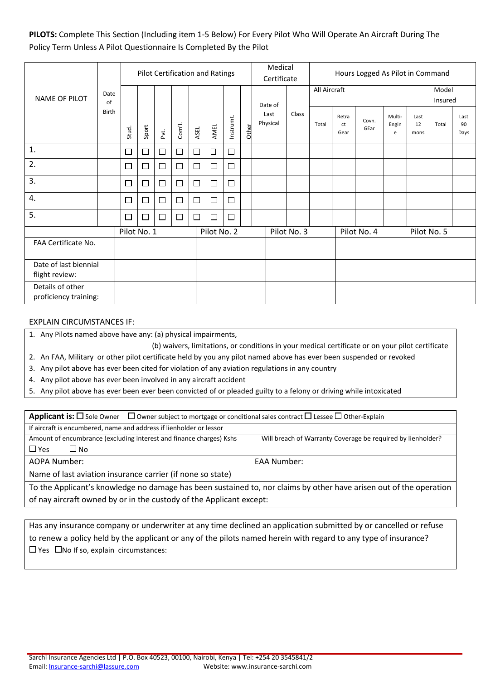**PILOTS:** Complete This Section (Including item 1-5 Below) For Every Pilot Who Will Operate An Aircraft During The Policy Term Unless A Pilot Questionnaire Is Completed By the Pilot

|                                           |              | Pilot Certification and Ratings |        |        |                  |        |             |           |       | Medical<br>Certificate |             | Hours Logged As Pilot in Command |                     |               |                      |                    |                  |                    |
|-------------------------------------------|--------------|---------------------------------|--------|--------|------------------|--------|-------------|-----------|-------|------------------------|-------------|----------------------------------|---------------------|---------------|----------------------|--------------------|------------------|--------------------|
| <b>NAME OF PILOT</b>                      | Date<br>of   |                                 |        |        |                  |        |             |           |       | Date of                |             | All Aircraft                     |                     |               |                      |                    | Model<br>Insured |                    |
|                                           | <b>Birth</b> | Stud.                           | Sport  | Ρvť.   | Com <sub>1</sub> | ASEL   | AMEL        | Instrumt. | Other | Last<br>Physical       | Class       | Total                            | Retra<br>ct<br>Gear | Covn.<br>GEar | Multi-<br>Engin<br>e | Last<br>12<br>mons | Total            | Last<br>90<br>Days |
| 1.                                        |              | $\Box$                          | $\Box$ | $\Box$ | $\Box$           | $\Box$ | $\Box$      | $\Box$    |       |                        |             |                                  |                     |               |                      |                    |                  |                    |
| 2.                                        |              | $\Box$                          | $\Box$ | $\Box$ | $\Box$           | $\Box$ | $\Box$      | $\Box$    |       |                        |             |                                  |                     |               |                      |                    |                  |                    |
| 3.                                        |              | $\Box$                          | $\Box$ | $\Box$ | $\Box$           | $\Box$ | $\Box$      | $\Box$    |       |                        |             |                                  |                     |               |                      |                    |                  |                    |
| 4.                                        |              | $\Box$                          | $\Box$ | $\Box$ | $\Box$           | $\Box$ | $\Box$      | $\Box$    |       |                        |             |                                  |                     |               |                      |                    |                  |                    |
| 5.                                        |              | $\Box$                          | □      | $\Box$ | $\Box$           | $\Box$ | $\Box$      | $\Box$    |       |                        |             |                                  |                     |               |                      |                    |                  |                    |
|                                           |              | Pilot No. 1                     |        |        |                  |        | Pilot No. 2 |           |       |                        | Pilot No. 3 |                                  |                     | Pilot No. 4   |                      |                    | Pilot No. 5      |                    |
| FAA Certificate No.                       |              |                                 |        |        |                  |        |             |           |       |                        |             |                                  |                     |               |                      |                    |                  |                    |
| Date of last biennial<br>flight review:   |              |                                 |        |        |                  |        |             |           |       |                        |             |                                  |                     |               |                      |                    |                  |                    |
| Details of other<br>proficiency training: |              |                                 |        |        |                  |        |             |           |       |                        |             |                                  |                     |               |                      |                    |                  |                    |

#### EXPLAIN CIRCUMSTANCES IF:

1. Any Pilots named above have any: (a) physical impairments,

(b) waivers, limitations, or conditions in your medical certificate or on your pilot certificate

- 2. An FAA, Military or other pilot certificate held by you any pilot named above has ever been suspended or revoked
- 3. Any pilot above has ever been cited for violation of any aviation regulations in any country
- 4. Any pilot above has ever been involved in any aircraft accident
- 5. Any pilot above has ever been ever been convicted of or pleaded guilty to a felony or driving while intoxicated

**Applicant is:**  $\square$  Sole Owner  $\square$  Owner subject to mortgage or conditional sales contract  $\square$  Lessee  $\square$  Other-Explain If aircraft is encumbered, name and address if lienholder or lessor Amount of encumbrance (excluding interest and finance charges) Kshs Will breach of Warranty Coverage be required by lienholder?  $\Box$  Yes  $\Box$  No

AOPA Number: EAA Number:

Name of last aviation insurance carrier (if none so state)

To the Applicant's knowledge no damage has been sustained to, nor claims by other have arisen out of the operation of nay aircraft owned by or in the custody of the Applicant except:

Has any insurance company or underwriter at any time declined an application submitted by or cancelled or refuse to renew a policy held by the applicant or any of the pilots named herein with regard to any type of insurance?  $\Box$  Yes  $\Box$  No If so, explain circumstances: